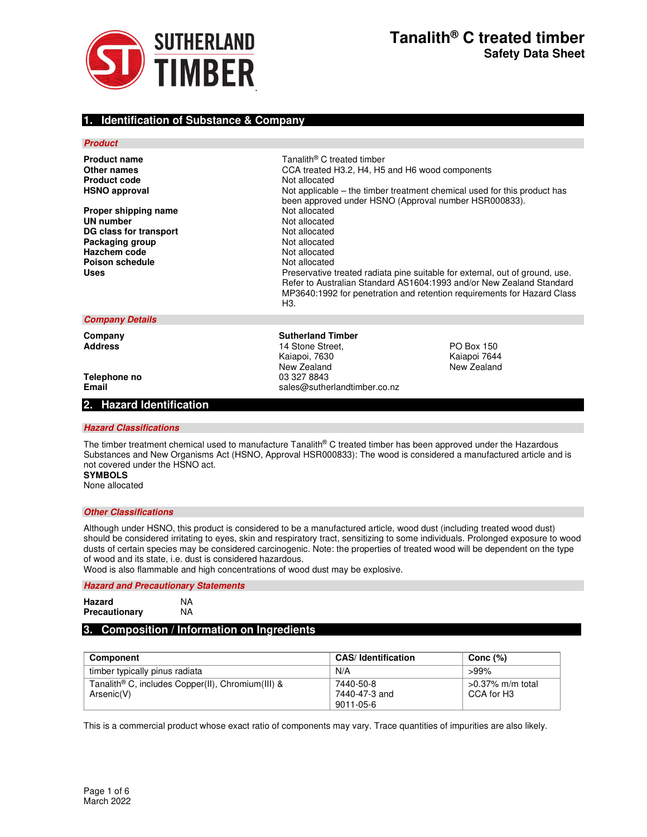

# **1. Identification of Substance & Company**

### **Product**

| <b>Product name</b>    | Tanalith <sup>®</sup> C treated timber                                                                                                          |
|------------------------|-------------------------------------------------------------------------------------------------------------------------------------------------|
| Other names            | CCA treated H3.2, H4, H5 and H6 wood components                                                                                                 |
| <b>Product code</b>    | Not allocated                                                                                                                                   |
| <b>HSNO approval</b>   | Not applicable – the timber treatment chemical used for this product has<br>been approved under HSNO (Approval number HSR000833).               |
| Proper shipping name   | Not allocated                                                                                                                                   |
| UN number              | Not allocated                                                                                                                                   |
| DG class for transport | Not allocated                                                                                                                                   |
| Packaging group        | Not allocated                                                                                                                                   |
| Hazchem code           | Not allocated                                                                                                                                   |
| Poison schedule        | Not allocated                                                                                                                                   |
| Uses                   | Preservative treated radiata pine suitable for external, out of ground, use.                                                                    |
|                        | Refer to Australian Standard AS1604:1993 and/or New Zealand Standard<br>MP3640:1992 for penetration and retention requirements for Hazard Class |
|                        | ΗЗ.                                                                                                                                             |
|                        |                                                                                                                                                 |

14 Stone Street, **Address 14 Stone Street**, **PO Box 150** Kaiapoi, 7630 Kaiapoi 7644 New Zealand<br>03 327 8843

#### **Company Details**

**Company 6 Company 14 Sutherland Timber**<br> **Address** 14 Stone Street.

**Telephone no Email Email Email Sales@sutherlandtimber.co.nz** 

### **2. Hazard Identification**

### **Hazard Classifications**

The timber treatment chemical used to manufacture Tanalith® C treated timber has been approved under the Hazardous Substances and New Organisms Act (HSNO, Approval HSR000833): The wood is considered a manufactured article and is not covered under the HSNO act. **SYMBOLS** 

None allocated

## **Other Classifications**

Although under HSNO, this product is considered to be a manufactured article, wood dust (including treated wood dust) should be considered irritating to eyes, skin and respiratory tract, sensitizing to some individuals. Prolonged exposure to wood dusts of certain species may be considered carcinogenic. Note: the properties of treated wood will be dependent on the type of wood and its state, i.e. dust is considered hazardous.

Wood is also flammable and high concentrations of wood dust may be explosive.

### **Hazard and Precautionary Statements**

| <b>Hazard</b> | ΝA |
|---------------|----|
| Precautionary | NA |

## **3. Composition / Information on Ingredients**

| Component                                                     | <b>CAS</b> / Identification | Conc $(\%)$         |
|---------------------------------------------------------------|-----------------------------|---------------------|
| timber typically pinus radiata                                | N/A                         | $>99\%$             |
| Tanalith <sup>®</sup> C, includes Copper(II), Chromium(III) & | 7440-50-8                   | $>0.37\%$ m/m total |
| Arsenic(V)                                                    | 7440-47-3 and               | CCA for H3          |
|                                                               | 9011-05-6                   |                     |

This is a commercial product whose exact ratio of components may vary. Trace quantities of impurities are also likely.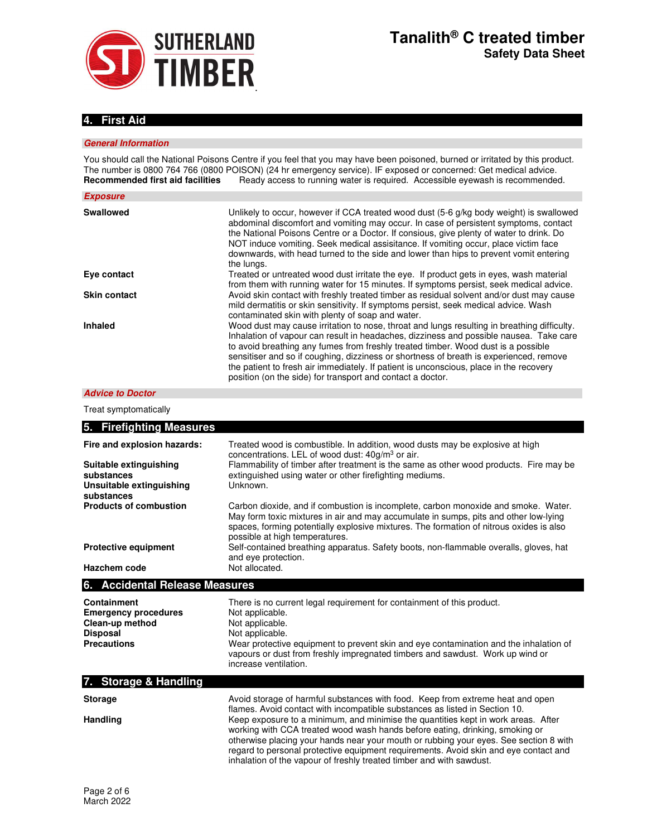

# **4. First Aid**

### **General Information**

You should call the National Poisons Centre if you feel that you may have been poisoned, burned or irritated by this product. The number is 0800 764 766 (0800 POISON) (24 hr emergency service). IF exposed or concerned: Get medical advice. **Recommended first aid facilities** Ready access to running water is required. Accessible eyewash is recommended.

| <b>Exposure</b>     |                                                                                                                                                                                                                                                                                                                                                                                                                                                                                                                              |
|---------------------|------------------------------------------------------------------------------------------------------------------------------------------------------------------------------------------------------------------------------------------------------------------------------------------------------------------------------------------------------------------------------------------------------------------------------------------------------------------------------------------------------------------------------|
| <b>Swallowed</b>    | Unlikely to occur, however if CCA treated wood dust (5-6 g/kg body weight) is swallowed<br>abdominal discomfort and vomiting may occur. In case of persistent symptoms, contact<br>the National Poisons Centre or a Doctor. If consious, give plenty of water to drink. Do<br>NOT induce vomiting. Seek medical assisitance. If vomiting occur, place victim face<br>downwards, with head turned to the side and lower than hips to prevent vomit entering<br>the lungs.                                                     |
| Eye contact         | Treated or untreated wood dust irritate the eye. If product gets in eyes, wash material<br>from them with running water for 15 minutes. If symptoms persist, seek medical advice.                                                                                                                                                                                                                                                                                                                                            |
| <b>Skin contact</b> | Avoid skin contact with freshly treated timber as residual solvent and/or dust may cause<br>mild dermatitis or skin sensitivity. If symptoms persist, seek medical advice. Wash<br>contaminated skin with plenty of soap and water.                                                                                                                                                                                                                                                                                          |
| <b>Inhaled</b>      | Wood dust may cause irritation to nose, throat and lungs resulting in breathing difficulty.<br>Inhalation of vapour can result in headaches, dizziness and possible nausea. Take care<br>to avoid breathing any fumes from freshly treated timber. Wood dust is a possible<br>sensitiser and so if coughing, dizziness or shortness of breath is experienced, remove<br>the patient to fresh air immediately. If patient is unconscious, place in the recovery<br>position (on the side) for transport and contact a doctor. |

### **Advice to Doctor**

Treat symptomatically

| 5. Firefighting Measures                                                                               |                                                                                                                                                                                                                                                                                                                                                                                                                            |
|--------------------------------------------------------------------------------------------------------|----------------------------------------------------------------------------------------------------------------------------------------------------------------------------------------------------------------------------------------------------------------------------------------------------------------------------------------------------------------------------------------------------------------------------|
| Fire and explosion hazards:<br>Suitable extinguishing                                                  | Treated wood is combustible. In addition, wood dusts may be explosive at high<br>concentrations. LEL of wood dust: $40g/m3$ or air.<br>Flammability of timber after treatment is the same as other wood products. Fire may be                                                                                                                                                                                              |
| substances<br>Unsuitable extinguishing<br>substances                                                   | extinguished using water or other firefighting mediums.<br>Unknown.                                                                                                                                                                                                                                                                                                                                                        |
| <b>Products of combustion</b>                                                                          | Carbon dioxide, and if combustion is incomplete, carbon monoxide and smoke. Water.<br>May form toxic mixtures in air and may accumulate in sumps, pits and other low-lying<br>spaces, forming potentially explosive mixtures. The formation of nitrous oxides is also<br>possible at high temperatures.                                                                                                                    |
| <b>Protective equipment</b><br>Hazchem code                                                            | Self-contained breathing apparatus. Safety boots, non-flammable overalls, gloves, hat<br>and eve protection.<br>Not allocated.                                                                                                                                                                                                                                                                                             |
| 6. Accidental Release Measures                                                                         |                                                                                                                                                                                                                                                                                                                                                                                                                            |
| Containment<br><b>Emergency procedures</b><br>Clean-up method<br><b>Disposal</b><br><b>Precautions</b> | There is no current legal requirement for containment of this product.<br>Not applicable.<br>Not applicable.<br>Not applicable.<br>Wear protective equipment to prevent skin and eye contamination and the inhalation of<br>vapours or dust from freshly impregnated timbers and sawdust. Work up wind or<br>increase ventilation.                                                                                         |
| 7. Storage & Handling                                                                                  |                                                                                                                                                                                                                                                                                                                                                                                                                            |
| <b>Storage</b>                                                                                         | Avoid storage of harmful substances with food. Keep from extreme heat and open<br>flames. Avoid contact with incompatible substances as listed in Section 10.                                                                                                                                                                                                                                                              |
| Handling                                                                                               | Keep exposure to a minimum, and minimise the quantities kept in work areas. After<br>working with CCA treated wood wash hands before eating, drinking, smoking or<br>otherwise placing your hands near your mouth or rubbing your eyes. See section 8 with<br>regard to personal protective equipment requirements. Avoid skin and eye contact and<br>inhalation of the vapour of freshly treated timber and with sawdust. |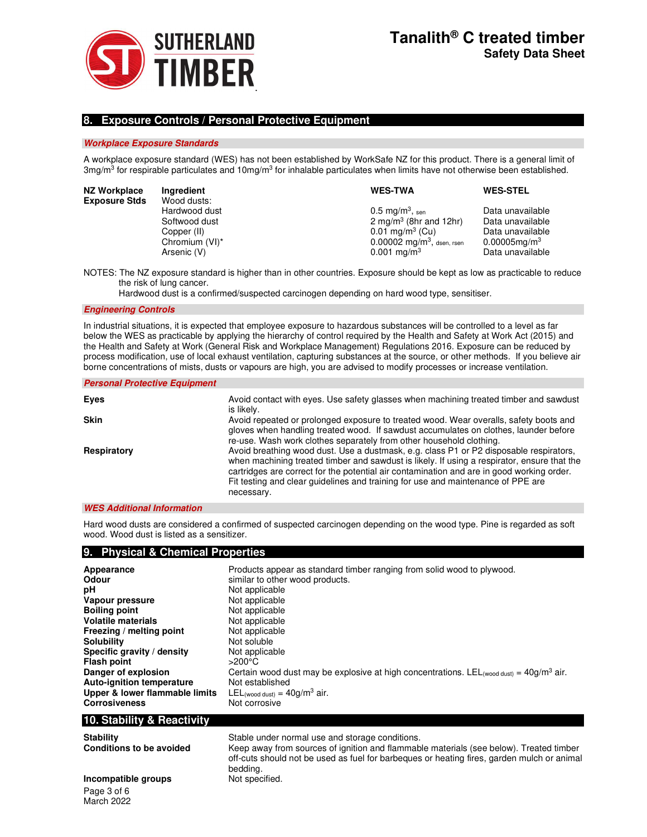

# **8. Exposure Controls / Personal Protective Equipment**

### **Workplace Exposure Standards**

A workplace exposure standard (WES) has not been established by WorkSafe NZ for this product. There is a general limit of 3mg/m<sup>3</sup> for respirable particulates and 10mg/m<sup>3</sup> for inhalable particulates when limits have not otherwise been established.

| NZ Workplace<br><b>Exposure Stds</b> | Ingredient<br>Wood dusts: | <b>WES-TWA</b>                           | <b>WES-STEL</b>    |
|--------------------------------------|---------------------------|------------------------------------------|--------------------|
|                                      |                           |                                          |                    |
|                                      | Hardwood dust             | $0.5 \text{ mg/m}^3$ , sen               | Data unavailable   |
|                                      | Softwood dust             | 2 mg/m <sup>3</sup> (8hr and 12hr)       | Data unavailable   |
|                                      | Copper (II)               | $0.01 \text{ mg/m}^3$ (Cu)               | Data unavailable   |
|                                      | Chromium (VI)*            | $0.00002$ mg/m <sup>3</sup> , dsen, rsen | $0.00005$ mg/m $3$ |
|                                      | Arsenic (V)               | $0.001$ mg/m <sup>3</sup>                | Data unavailable   |
|                                      |                           |                                          |                    |

NOTES: The NZ exposure standard is higher than in other countries. Exposure should be kept as low as practicable to reduce the risk of lung cancer.

Hardwood dust is a confirmed/suspected carcinogen depending on hard wood type, sensitiser.

### **Engineering Controls**

In industrial situations, it is expected that employee exposure to hazardous substances will be controlled to a level as far below the WES as practicable by applying the hierarchy of control required by the Health and Safety at Work Act (2015) and the Health and Safety at Work (General Risk and Workplace Management) Regulations 2016. Exposure can be reduced by process modification, use of local exhaust ventilation, capturing substances at the source, or other methods. If you believe air borne concentrations of mists, dusts or vapours are high, you are advised to modify processes or increase ventilation.

| <b>Personal Protective Equipment</b> |                                                                                                                                                                                                                                                                                                                                                                                      |
|--------------------------------------|--------------------------------------------------------------------------------------------------------------------------------------------------------------------------------------------------------------------------------------------------------------------------------------------------------------------------------------------------------------------------------------|
| Eyes                                 | Avoid contact with eyes. Use safety glasses when machining treated timber and sawdust<br>is likely.                                                                                                                                                                                                                                                                                  |
| <b>Skin</b>                          | Avoid repeated or prolonged exposure to treated wood. Wear overalls, safety boots and<br>gloves when handling treated wood. If sawdust accumulates on clothes, launder before<br>re-use. Wash work clothes separately from other household clothing.                                                                                                                                 |
| Respiratory                          | Avoid breathing wood dust. Use a dustmask, e.g. class P1 or P2 disposable respirators,<br>when machining treated timber and sawdust is likely. If using a respirator, ensure that the<br>cartridges are correct for the potential air contamination and are in good working order.<br>Fit testing and clear quidelines and training for use and maintenance of PPE are<br>necessary. |

### **WES Additional Information**

**Personal Protective Equipment** 

March 2022

Hard wood dusts are considered a confirmed of suspected carcinogen depending on the wood type. Pine is regarded as soft wood. Wood dust is listed as a sensitizer.

| 9. Physical & Chemical Properties                                                                                                                                                                                                                                                                                           |                                                                                                                                                                                                                                                                                                                                                                                                                               |
|-----------------------------------------------------------------------------------------------------------------------------------------------------------------------------------------------------------------------------------------------------------------------------------------------------------------------------|-------------------------------------------------------------------------------------------------------------------------------------------------------------------------------------------------------------------------------------------------------------------------------------------------------------------------------------------------------------------------------------------------------------------------------|
| Appearance<br>Odour<br>рH<br>Vapour pressure<br><b>Boiling point</b><br><b>Volatile materials</b><br>Freezing / melting point<br><b>Solubility</b><br>Specific gravity / density<br><b>Flash point</b><br>Danger of explosion<br><b>Auto-ignition temperature</b><br>Upper & lower flammable limits<br><b>Corrosiveness</b> | Products appear as standard timber ranging from solid wood to plywood.<br>similar to other wood products.<br>Not applicable<br>Not applicable<br>Not applicable<br>Not applicable<br>Not applicable<br>Not soluble<br>Not applicable<br>$>200^{\circ}$ C<br>Certain wood dust may be explosive at high concentrations. LEL (wood dust) = $40g/m3$ air.<br>Not established<br>LEL (wood dust) = $40g/m3$ air.<br>Not corrosive |
| 10. Stability & Reactivity                                                                                                                                                                                                                                                                                                  |                                                                                                                                                                                                                                                                                                                                                                                                                               |

| <b>Stability</b>                | Stable under normal use and storage conditions.                                                                                                                                                  |
|---------------------------------|--------------------------------------------------------------------------------------------------------------------------------------------------------------------------------------------------|
| <b>Conditions to be avoided</b> | Keep away from sources of ignition and flammable materials (see below). Treated timber<br>off-cuts should not be used as fuel for barbegues or heating fires, garden mulch or animal<br>bedding. |
| Incompatible groups             | Not specified.                                                                                                                                                                                   |
| Page 3 of 6                     |                                                                                                                                                                                                  |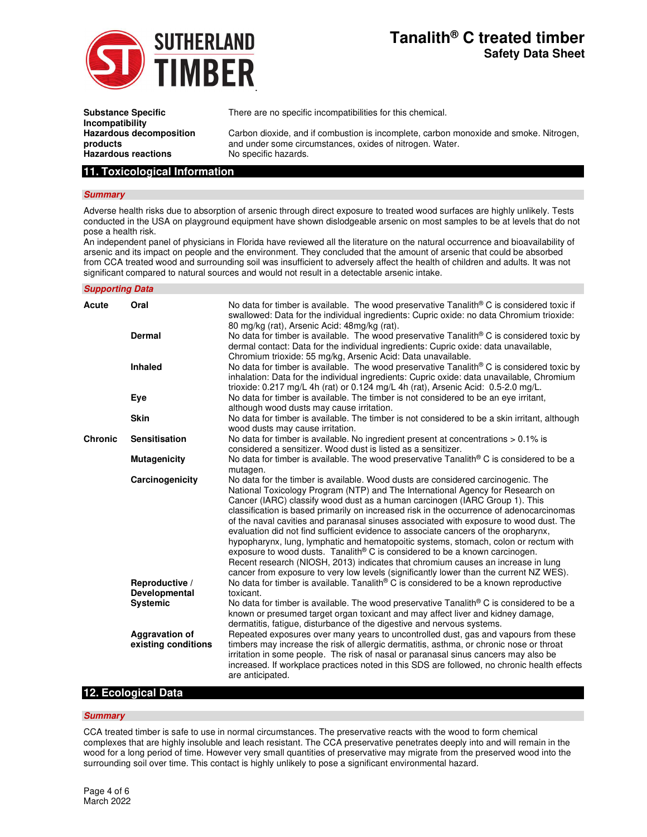

# **Tanalith® C treated timber Safety Data Sheet**

| <b>Substance Specific</b><br>Incompatibility | There are no specific incompatibilities for this chemical.                            |
|----------------------------------------------|---------------------------------------------------------------------------------------|
| <b>Hazardous decomposition</b>               | Carbon dioxide, and if combustion is incomplete, carbon monoxide and smoke. Nitrogen, |
| products                                     | and under some circumstances, oxides of nitrogen. Water.                              |
| <b>Hazardous reactions</b>                   | No specific hazards.                                                                  |

# **11. Toxicological Information**

### **Summary**

Adverse health risks due to absorption of arsenic through direct exposure to treated wood surfaces are highly unlikely. Tests conducted in the USA on playground equipment have shown dislodgeable arsenic on most samples to be at levels that do not pose a health risk.

An independent panel of physicians in Florida have reviewed all the literature on the natural occurrence and bioavailability of arsenic and its impact on people and the environment. They concluded that the amount of arsenic that could be absorbed from CCA treated wood and surrounding soil was insufficient to adversely affect the health of children and adults. It was not significant compared to natural sources and would not result in a detectable arsenic intake.

### **Supporting Data**

| Acute          | Oral                                         | No data for timber is available. The wood preservative Tanalith <sup>®</sup> C is considered toxic if<br>swallowed: Data for the individual ingredients: Cupric oxide: no data Chromium trioxide:<br>80 mg/kg (rat), Arsenic Acid: 48mg/kg (rat).                                                                                                                                                                                                                                                                                                                                                                                                                                                                                                                                                                                                                                               |
|----------------|----------------------------------------------|-------------------------------------------------------------------------------------------------------------------------------------------------------------------------------------------------------------------------------------------------------------------------------------------------------------------------------------------------------------------------------------------------------------------------------------------------------------------------------------------------------------------------------------------------------------------------------------------------------------------------------------------------------------------------------------------------------------------------------------------------------------------------------------------------------------------------------------------------------------------------------------------------|
|                | <b>Dermal</b>                                | No data for timber is available. The wood preservative Tanalith® C is considered toxic by<br>dermal contact: Data for the individual ingredients: Cupric oxide: data unavailable,<br>Chromium trioxide: 55 mg/kg, Arsenic Acid: Data unavailable.                                                                                                                                                                                                                                                                                                                                                                                                                                                                                                                                                                                                                                               |
|                | <b>Inhaled</b>                               | No data for timber is available. The wood preservative Tanalith <sup>®</sup> C is considered toxic by<br>inhalation: Data for the individual ingredients: Cupric oxide: data unavailable, Chromium<br>trioxide: 0.217 mg/L 4h (rat) or 0.124 mg/L 4h (rat), Arsenic Acid: 0.5-2.0 mg/L.                                                                                                                                                                                                                                                                                                                                                                                                                                                                                                                                                                                                         |
|                | Eye                                          | No data for timber is available. The timber is not considered to be an eye irritant,<br>although wood dusts may cause irritation.                                                                                                                                                                                                                                                                                                                                                                                                                                                                                                                                                                                                                                                                                                                                                               |
|                | <b>Skin</b>                                  | No data for timber is available. The timber is not considered to be a skin irritant, although<br>wood dusts may cause irritation.                                                                                                                                                                                                                                                                                                                                                                                                                                                                                                                                                                                                                                                                                                                                                               |
| <b>Chronic</b> | <b>Sensitisation</b>                         | No data for timber is available. No ingredient present at concentrations $> 0.1\%$ is<br>considered a sensitizer. Wood dust is listed as a sensitizer.                                                                                                                                                                                                                                                                                                                                                                                                                                                                                                                                                                                                                                                                                                                                          |
|                | <b>Mutagenicity</b>                          | No data for timber is available. The wood preservative Tanalith® C is considered to be a<br>mutagen.                                                                                                                                                                                                                                                                                                                                                                                                                                                                                                                                                                                                                                                                                                                                                                                            |
|                | Carcinogenicity                              | No data for the timber is available. Wood dusts are considered carcinogenic. The<br>National Toxicology Program (NTP) and The International Agency for Research on<br>Cancer (IARC) classify wood dust as a human carcinogen (IARC Group 1). This<br>classification is based primarily on increased risk in the occurrence of adenocarcinomas<br>of the naval cavities and paranasal sinuses associated with exposure to wood dust. The<br>evaluation did not find sufficient evidence to associate cancers of the oropharynx,<br>hypopharynx, lung, lymphatic and hematopoitic systems, stomach, colon or rectum with<br>exposure to wood dusts. Tanalith <sup>®</sup> C is considered to be a known carcinogen.<br>Recent research (NIOSH, 2013) indicates that chromium causes an increase in lung<br>cancer from exposure to very low levels (significantly lower than the current NZ WES). |
|                | Reproductive /<br>Developmental              | No data for timber is available. Tanalith® C is considered to be a known reproductive<br>toxicant.                                                                                                                                                                                                                                                                                                                                                                                                                                                                                                                                                                                                                                                                                                                                                                                              |
|                | <b>Systemic</b>                              | No data for timber is available. The wood preservative Tanalith <sup>®</sup> C is considered to be a<br>known or presumed target organ toxicant and may affect liver and kidney damage,<br>dermatitis, fatigue, disturbance of the digestive and nervous systems.                                                                                                                                                                                                                                                                                                                                                                                                                                                                                                                                                                                                                               |
|                | <b>Aggravation of</b><br>existing conditions | Repeated exposures over many years to uncontrolled dust, gas and vapours from these<br>timbers may increase the risk of allergic dermatitis, asthma, or chronic nose or throat<br>irritation in some people. The risk of nasal or paranasal sinus cancers may also be<br>increased. If workplace practices noted in this SDS are followed, no chronic health effects<br>are anticipated.                                                                                                                                                                                                                                                                                                                                                                                                                                                                                                        |

## **12. Ecological Data**

#### **Summary**

CCA treated timber is safe to use in normal circumstances. The preservative reacts with the wood to form chemical complexes that are highly insoluble and leach resistant. The CCA preservative penetrates deeply into and will remain in the wood for a long period of time. However very small quantities of preservative may migrate from the preserved wood into the surrounding soil over time. This contact is highly unlikely to pose a significant environmental hazard.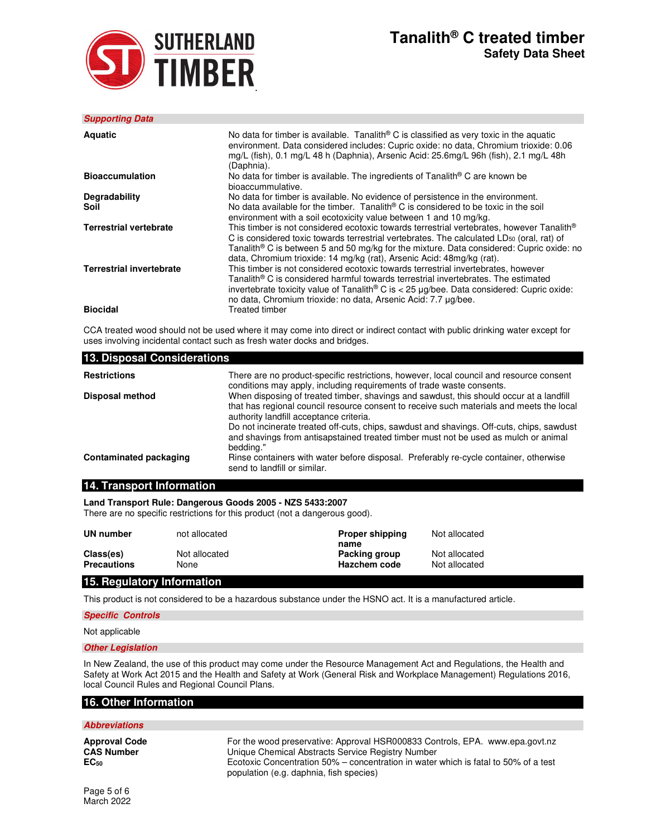

# **Tanalith® C treated timber Safety Data Sheet**

| <b>Supporting Data</b>          |                                                                                                                                                                                                                                                                                                                                                                                     |
|---------------------------------|-------------------------------------------------------------------------------------------------------------------------------------------------------------------------------------------------------------------------------------------------------------------------------------------------------------------------------------------------------------------------------------|
| <b>Aquatic</b>                  | No data for timber is available. Tanalith <sup>®</sup> C is classified as very toxic in the aquatic<br>environment. Data considered includes: Cupric oxide: no data, Chromium trioxide: 0.06<br>mg/L (fish), 0.1 mg/L 48 h (Daphnia), Arsenic Acid: 25.6mg/L 96h (fish), 2.1 mg/L 48h<br>(Daphnia).                                                                                 |
| <b>Bioaccumulation</b>          | No data for timber is available. The ingredients of Tanalith® C are known be<br>bioaccummulative.                                                                                                                                                                                                                                                                                   |
| Degradability<br>Soil           | No data for timber is available. No evidence of persistence in the environment.<br>No data available for the timber. Tanalith <sup>®</sup> C is considered to be toxic in the soil<br>environment with a soil ecotoxicity value between 1 and 10 mg/kg.                                                                                                                             |
| <b>Terrestrial vertebrate</b>   | This timber is not considered ecotoxic towards terrestrial vertebrates, however Tanalith®<br>C is considered toxic towards terrestrial vertebrates. The calculated LD <sub>50</sub> (oral, rat) of<br>Tanalith <sup>®</sup> C is between 5 and 50 mg/kg for the mixture. Data considered: Cupric oxide: no<br>data, Chromium trioxide: 14 mg/kg (rat), Arsenic Acid: 48mg/kg (rat). |
| <b>Terrestrial invertebrate</b> | This timber is not considered ecotoxic towards terrestrial invertebrates, however<br>Tanalith® C is considered harmful towards terrestrial invertebrates. The estimated<br>invertebrate toxicity value of Tanalith® C is < $25 \mu g$ /bee. Data considered: Cupric oxide:<br>no data, Chromium trioxide: no data, Arsenic Acid: 7.7 µg/bee.                                        |
| <b>Biocidal</b>                 | Treated timber                                                                                                                                                                                                                                                                                                                                                                      |

CCA treated wood should not be used where it may come into direct or indirect contact with public drinking water except for uses involving incidental contact such as fresh water docks and bridges.

| 13. Disposal Considerations |                                                                                                                                                                                                                                                                                                                                                                                                                                 |  |  |
|-----------------------------|---------------------------------------------------------------------------------------------------------------------------------------------------------------------------------------------------------------------------------------------------------------------------------------------------------------------------------------------------------------------------------------------------------------------------------|--|--|
| <b>Restrictions</b>         | There are no product-specific restrictions, however, local council and resource consent<br>conditions may apply, including requirements of trade waste consents.                                                                                                                                                                                                                                                                |  |  |
| Disposal method             | When disposing of treated timber, shavings and sawdust, this should occur at a landfill<br>that has regional council resource consent to receive such materials and meets the local<br>authority landfill acceptance criteria.<br>Do not incinerate treated off-cuts, chips, sawdust and shavings. Off-cuts, chips, sawdust<br>and shavings from antisapstained treated timber must not be used as mulch or animal<br>bedding." |  |  |
| Contaminated packaging      | Rinse containers with water before disposal. Preferably re-cycle container, otherwise<br>send to landfill or similar.                                                                                                                                                                                                                                                                                                           |  |  |

## **14. Transport Information**

**Land Transport Rule: Dangerous Goods 2005 - NZS 5433:2007** 

There are no specific restrictions for this product (not a dangerous good).

| UN number                                                          | not allocated         | <b>Proper shipping</b><br>name       | Not allocated                  |
|--------------------------------------------------------------------|-----------------------|--------------------------------------|--------------------------------|
| Class(es)<br><b>Precautions</b>                                    | Not allocated<br>None | Packing group<br><b>Hazchem code</b> | Not allocated<br>Not allocated |
| $\mathbf{A} = \mathbf{B}$ , and a set of $\mathbf{A} = \mathbf{A}$ |                       |                                      |                                |

# **15. Regulatory Information**

This product is not considered to be a hazardous substance under the HSNO act. It is a manufactured article.

### **Specific Controls**

Not applicable

#### **Other Legislation**

In New Zealand, the use of this product may come under the Resource Management Act and Regulations, the Health and Safety at Work Act 2015 and the Health and Safety at Work (General Risk and Workplace Management) Regulations 2016, local Council Rules and Regional Council Plans.

### **16. Other Information**

### **Abbreviations**

**Approval Code** For the wood preservative: Approval HSR000833 Controls, EPA. www.epa.govt.nz<br>
CAS Number **CAS Number** Unique Chemical Abstracts Service Registry Number **CAS Number** Unique Chemical Abstracts Service Registry Number<br> **EC**<sub>50</sub> Concentration 50% – concentration in water **EC<sup>50</sup>** Ecotoxic Concentration 50% – concentration in water which is fatal to 50% of a test population (e.g. daphnia, fish species)